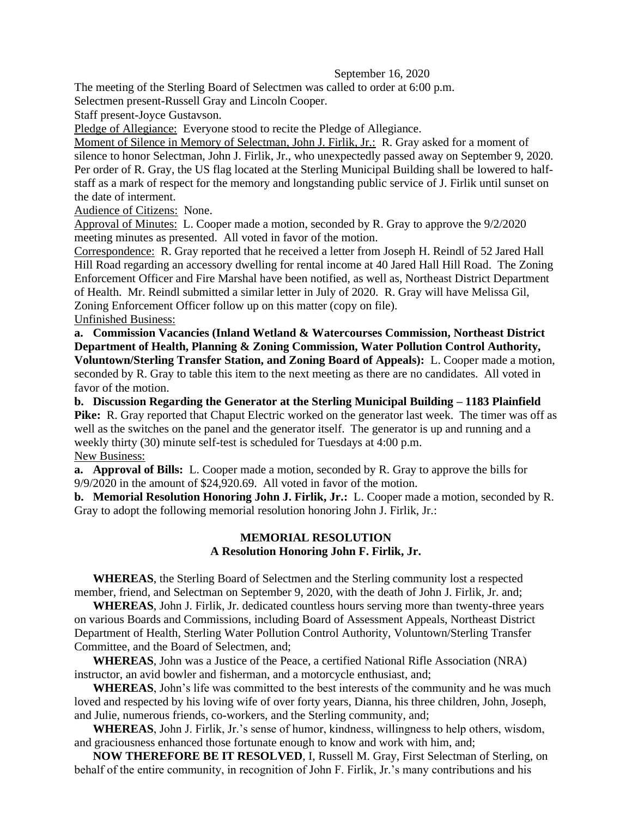## September 16, 2020

The meeting of the Sterling Board of Selectmen was called to order at 6:00 p.m.

Selectmen present-Russell Gray and Lincoln Cooper.

Staff present-Joyce Gustavson.

Pledge of Allegiance: Everyone stood to recite the Pledge of Allegiance.

Moment of Silence in Memory of Selectman, John J. Firlik, Jr.:R. Gray asked for a moment of silence to honor Selectman, John J. Firlik, Jr., who unexpectedly passed away on September 9, 2020. Per order of R. Gray, the US flag located at the Sterling Municipal Building shall be lowered to halfstaff as a mark of respect for the memory and longstanding public service of J. Firlik until sunset on the date of interment.

Audience of Citizens: None.

Approval of Minutes: L. Cooper made a motion, seconded by R. Gray to approve the 9/2/2020 meeting minutes as presented. All voted in favor of the motion.

Correspondence: R. Gray reported that he received a letter from Joseph H. Reindl of 52 Jared Hall Hill Road regarding an accessory dwelling for rental income at 40 Jared Hall Hill Road. The Zoning Enforcement Officer and Fire Marshal have been notified, as well as, Northeast District Department of Health. Mr. Reindl submitted a similar letter in July of 2020. R. Gray will have Melissa Gil, Zoning Enforcement Officer follow up on this matter (copy on file). Unfinished Business:

**a. Commission Vacancies (Inland Wetland & Watercourses Commission, Northeast District Department of Health, Planning & Zoning Commission, Water Pollution Control Authority,** 

**Voluntown/Sterling Transfer Station, and Zoning Board of Appeals):** L. Cooper made a motion, seconded by R. Gray to table this item to the next meeting as there are no candidates. All voted in favor of the motion.

**b. Discussion Regarding the Generator at the Sterling Municipal Building – 1183 Plainfield Pike:** R. Gray reported that Chaput Electric worked on the generator last week. The timer was off as well as the switches on the panel and the generator itself. The generator is up and running and a weekly thirty (30) minute self-test is scheduled for Tuesdays at 4:00 p.m. New Business:

**a. Approval of Bills:** L. Cooper made a motion, seconded by R. Gray to approve the bills for 9/9/2020 in the amount of \$24,920.69. All voted in favor of the motion.

**b. Memorial Resolution Honoring John J. Firlik, Jr.:** L. Cooper made a motion, seconded by R. Gray to adopt the following memorial resolution honoring John J. Firlik, Jr.:

## **MEMORIAL RESOLUTION A Resolution Honoring John F. Firlik, Jr.**

**WHEREAS**, the Sterling Board of Selectmen and the Sterling community lost a respected member, friend, and Selectman on September 9, 2020, with the death of John J. Firlik, Jr. and;

**WHEREAS**, John J. Firlik, Jr. dedicated countless hours serving more than twenty-three years on various Boards and Commissions, including Board of Assessment Appeals, Northeast District Department of Health, Sterling Water Pollution Control Authority, Voluntown/Sterling Transfer Committee, and the Board of Selectmen, and;

**WHEREAS**, John was a Justice of the Peace, a certified National Rifle Association (NRA) instructor, an avid bowler and fisherman, and a motorcycle enthusiast, and;

**WHEREAS**, John's life was committed to the best interests of the community and he was much loved and respected by his loving wife of over forty years, Dianna, his three children, John, Joseph, and Julie, numerous friends, co-workers, and the Sterling community, and;

**WHEREAS**, John J. Firlik, Jr.'s sense of humor, kindness, willingness to help others, wisdom, and graciousness enhanced those fortunate enough to know and work with him, and;

**NOW THEREFORE BE IT RESOLVED**, I, Russell M. Gray, First Selectman of Sterling, on behalf of the entire community, in recognition of John F. Firlik, Jr.'s many contributions and his